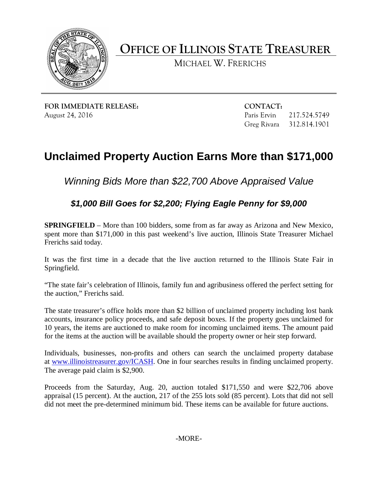

**OFFICE OF ILLINOIS STATE TREASURER**

MICHAEL W. FRERICHS

**FOR IMMEDIATE RELEASE: CONTACT:** August 24, 2016 **Paris Ervin 217.524.5749** Paris Ervin 217.524.5749

Greg Rivara 312.814.1901

## **Unclaimed Property Auction Earns More than \$171,000**

*Winning Bids More than \$22,700 Above Appraised Value*

*\$1,000 Bill Goes for \$2,200; Flying Eagle Penny for \$9,000*

**SPRINGFIELD** – More than 100 bidders, some from as far away as Arizona and New Mexico, spent more than \$171,000 in this past weekend's live auction, Illinois State Treasurer Michael Frerichs said today.

It was the first time in a decade that the live auction returned to the Illinois State Fair in Springfield.

"The state fair's celebration of Illinois, family fun and agribusiness offered the perfect setting for the auction," Frerichs said.

The state treasurer's office holds more than \$2 billion of unclaimed property including lost bank accounts, insurance policy proceeds, and safe deposit boxes. If the property goes unclaimed for 10 years, the items are auctioned to make room for incoming unclaimed items. The amount paid for the items at the auction will be available should the property owner or heir step forward.

Individuals, businesses, non-profits and others can search the unclaimed property database at [www.illinoistreasurer.gov/ICASH.](http://www.illinoistreasurer.gov/ICASH) One in four searches results in finding unclaimed property. The average paid claim is \$2,900.

Proceeds from the Saturday, Aug. 20, auction totaled \$171,550 and were \$22,706 above appraisal (15 percent). At the auction, 217 of the 255 lots sold (85 percent). Lots that did not sell did not meet the pre-determined minimum bid. These items can be available for future auctions.

-MORE-